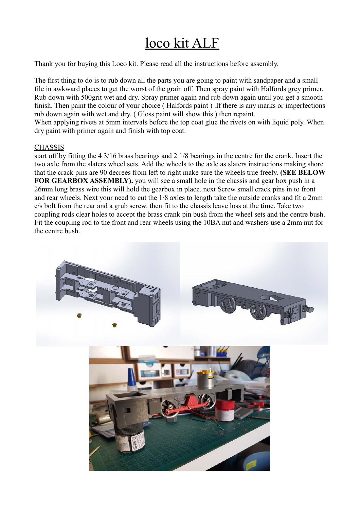## loco kit ALF

Thank you for buying this Loco kit. Please read all the instructions before assembly.

The first thing to do is to rub down all the parts you are going to paint with sandpaper and a small file in awkward places to get the worst of the grain off. Then spray paint with Halfords grey primer. Rub down with 500grit wet and dry. Spray primer again and rub down again until you get a smooth finish. Then paint the colour of your choice ( Halfords paint ) .If there is any marks or imperfections rub down again with wet and dry. ( Gloss paint will show this ) then repaint.

When applying rivets at 5mm intervals before the top coat glue the rivets on with liquid poly. When dry paint with primer again and finish with top coat.

## CHASSIS

start off by fitting the 4 3/16 brass bearings and 2 1/8 bearings in the centre for the crank. Insert the two axle from the slaters wheel sets. Add the wheels to the axle as slaters instructions making shore that the crack pins are 90 decrees from left to right make sure the wheels true freely. **(SEE BELOW FOR GEARBOX ASSEMBLY).** you will see a small hole in the chassis and gear box push in a 26mm long brass wire this will hold the gearbox in place. next Screw small crack pins in to front and rear wheels. Next your need to cut the 1/8 axles to length take the outside cranks and fit a 2mm c/s bolt from the rear and a grub screw. then fit to the chassis leave loss at the time. Take two coupling rods clear holes to accept the brass crank pin bush from the wheel sets and the centre bush. Fit the coupling rod to the front and rear wheels using the 10BA nut and washers use a 2mm nut for the centre bush.

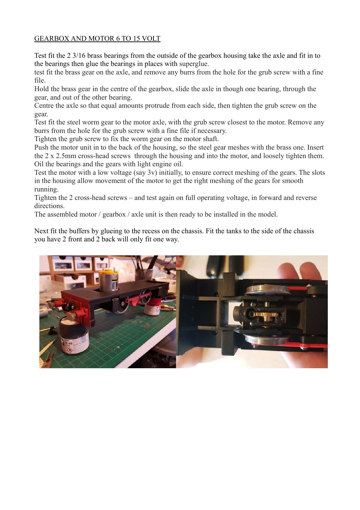## GEARBOX AND MOTOR 6 TO 15 VOLT

Test fit the 2 3/16 brass bearings from the outside of the gearbox housing take the axle and fit in to the bearings then glue the bearings in places with superglue.

test fit the brass gear on the axle, and remove any burrs from the hole for the grub screw with a fine file.

Hold the brass gear in the centre of the gearbox, slide the axle in though one bearing, through the gear, and out of the other bearing.

Centre the axle so that equal amounts protrude from each side, then tighten the grub screw on the gear.

Test fit the steel worm gear to the motor axle, with the grub screw closest to the motor. Remove any burrs from the hole for the grub screw with a fine file if necessary.

Tighten the grub screw to fix the worm gear on the motor shaft.

Push the motor unit in to the back of the housing, so the steel gear meshes with the brass one. Insert the 2 x 2.5mm cross-head screws through the housing and into the motor, and loosely tighten them. Oil the bearings and the gears with light engine oil.

Test the motor with a low voltage (say 3v) initially, to ensure correct meshing of the gears. The slots in the housing allow movement of the motor to get the right meshing of the gears for smooth running.

Tighten the 2 cross-head screws – and test again on full operating voltage, in forward and reverse directions.

The assembled motor / gearbox / axle unit is then ready to be installed in the model.

Next fit the buffers by glueing to the recess on the chassis. Fit the tanks to the side of the chassis you have 2 front and 2 back will only fit one way.

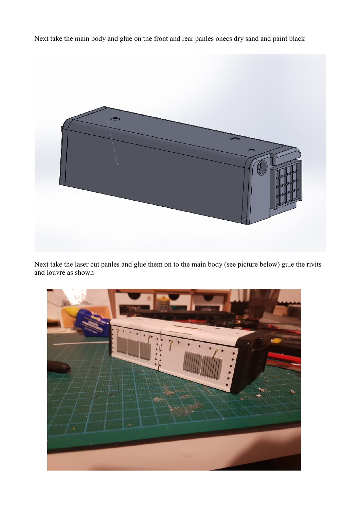Next take the main body and glue on the front and rear panles onecs dry sand and paint black



Next take the laser cut panles and glue them on to the main body (see picture below) gule the rivits and louvre as shown

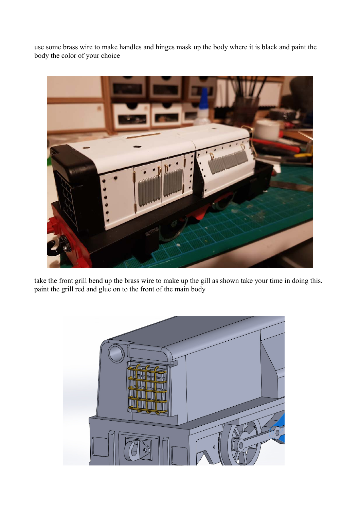use some brass wire to make handles and hinges mask up the body where it is black and paint the body the color of your choice



take the front grill bend up the brass wire to make up the gill as shown take your time in doing this. paint the grill red and glue on to the front of the main body

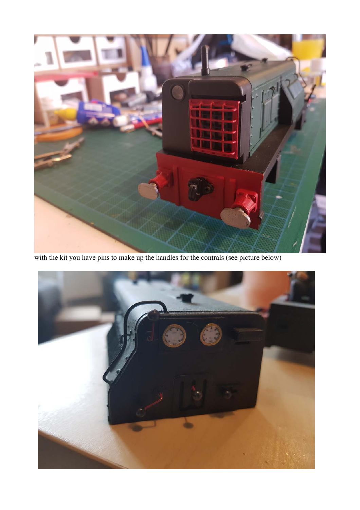

with the kit you have pins to make up the handles for the contrals (see picture below)